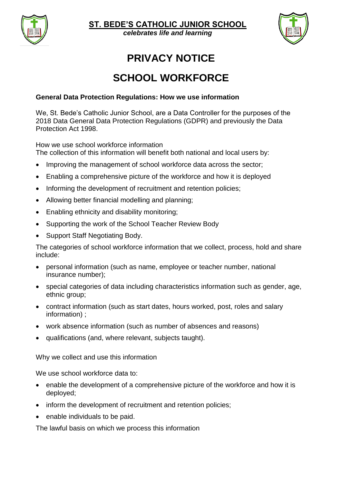

**ST. BEDE'S CATHOLIC JUNIOR SCHOOL**

celebrates life and learning



## **PRIVACY NOTICE**

## **SCHOOL WORKFORCE**

## **General Data Protection Regulations: How we use information**

We, St. Bede's Catholic Junior School, are a Data Controller for the purposes of the 2018 Data General Data Protection Regulations (GDPR) and previously the Data Protection Act 1998.

How we use school workforce information

The collection of this information will benefit both national and local users by:

- Improving the management of school workforce data across the sector;
- Enabling a comprehensive picture of the workforce and how it is deployed
- Informing the development of recruitment and retention policies;
- Allowing better financial modelling and planning;
- Enabling ethnicity and disability monitoring;
- Supporting the work of the School Teacher Review Body
- Support Staff Negotiating Body.

The categories of school workforce information that we collect, process, hold and share include:

- personal information (such as name, employee or teacher number, national insurance number);
- special categories of data including characteristics information such as gender, age, ethnic group;
- contract information (such as start dates, hours worked, post, roles and salary information) ;
- work absence information (such as number of absences and reasons)
- qualifications (and, where relevant, subjects taught).

Why we collect and use this information

We use school workforce data to:

- enable the development of a comprehensive picture of the workforce and how it is deployed;
- inform the development of recruitment and retention policies;
- enable individuals to be paid.

The lawful basis on which we process this information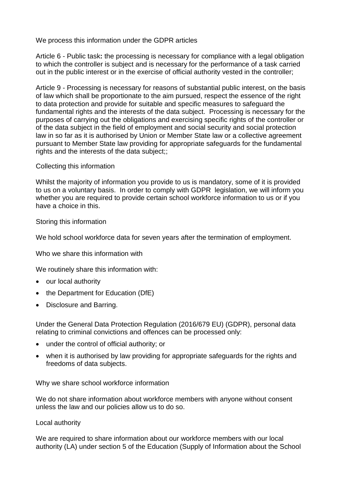We process this information under the GDPR articles

Article 6 - Public task**:** the processing is necessary for compliance with a legal obligation to which the controller is subject and is necessary for the performance of a task carried out in the public interest or in the exercise of official authority vested in the controller;

Article 9 - Processing is necessary for reasons of substantial public interest, on the basis of law which shall be proportionate to the aim pursued, respect the essence of the right to data protection and provide for suitable and specific measures to safeguard the fundamental rights and the interests of the data subject. Processing is necessary for the purposes of carrying out the obligations and exercising specific rights of the controller or of the data subject in the field of employment and social security and social protection law in so far as it is authorised by Union or Member State law or a collective agreement pursuant to Member State law providing for appropriate safeguards for the fundamental rights and the interests of the data subject;;

Collecting this information

Whilst the majority of information you provide to us is mandatory, some of it is provided to us on a voluntary basis. In order to comply with GDPR legislation, we will inform you whether you are required to provide certain school workforce information to us or if you have a choice in this.

Storing this information

We hold school workforce data for seven years after the termination of employment.

Who we share this information with

We routinely share this information with:

- our local authority
- the Department for Education (DfE)
- Disclosure and Barring.

Under the General Data Protection Regulation (2016/679 EU) (GDPR), personal data relating to criminal convictions and offences can be processed only:

- under the control of official authority; or
- when it is authorised by law providing for appropriate safeguards for the rights and freedoms of data subjects.

Why we share school workforce information

We do not share information about workforce members with anyone without consent unless the law and our policies allow us to do so.

Local authority

We are required to share information about our workforce members with our local authority (LA) under section 5 of the Education (Supply of Information about the School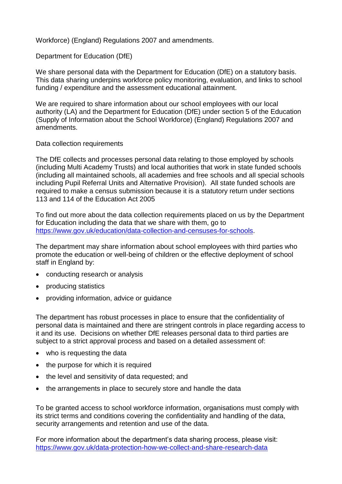Workforce) (England) Regulations 2007 and amendments.

Department for Education (DfE)

We share personal data with the Department for Education (DfE) on a statutory basis. This data sharing underpins workforce policy monitoring, evaluation, and links to school funding / expenditure and the assessment educational attainment.

We are required to share information about our school employees with our local authority (LA) and the Department for Education (DfE) under section 5 of the Education (Supply of Information about the School Workforce) (England) Regulations 2007 and amendments.

Data collection requirements

The DfE collects and processes personal data relating to those employed by schools (including Multi Academy Trusts) and local authorities that work in state funded schools (including all maintained schools, all academies and free schools and all special schools including Pupil Referral Units and Alternative Provision). All state funded schools are required to make a census submission because it is a statutory return under sections 113 and 114 of the Education Act 2005

To find out more about the data collection requirements placed on us by the Department for Education including the data that we share with them, go to [https://www.gov.uk/education/data-collection-and-censuses-for-schools.](https://www.gov.uk/education/data-collection-and-censuses-for-schools)

The department may share information about school employees with third parties who promote the education or well-being of children or the effective deployment of school staff in England by:

- conducting research or analysis
- producing statistics
- providing information, advice or guidance

The department has robust processes in place to ensure that the confidentiality of personal data is maintained and there are stringent controls in place regarding access to it and its use. Decisions on whether DfE releases personal data to third parties are subject to a strict approval process and based on a detailed assessment of:

- who is requesting the data
- the purpose for which it is required
- the level and sensitivity of data requested; and
- the arrangements in place to securely store and handle the data

To be granted access to school workforce information, organisations must comply with its strict terms and conditions covering the confidentiality and handling of the data, security arrangements and retention and use of the data.

For more information about the department's data sharing process, please visit: <https://www.gov.uk/data-protection-how-we-collect-and-share-research-data>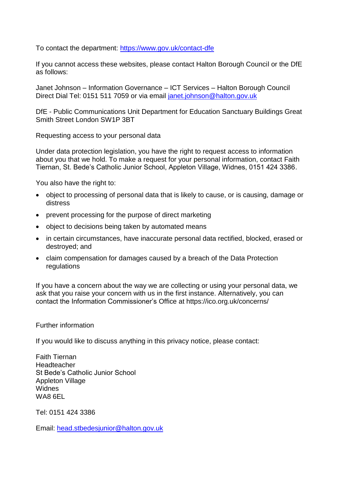To contact the department:<https://www.gov.uk/contact-dfe>

If you cannot access these websites, please contact Halton Borough Council or the DfE as follows:

Janet Johnson – Information Governance – ICT Services – Halton Borough Council Direct Dial Tel: 0151 511 7059 or via email [janet.johnson@halton.gov.uk](mailto:janet.johnson@halton.gov.uk) 

DfE - Public Communications Unit Department for Education Sanctuary Buildings Great Smith Street London SW1P 3BT

Requesting access to your personal data

Under data protection legislation, you have the right to request access to information about you that we hold. To make a request for your personal information, contact Faith Tiernan, St. Bede's Catholic Junior School, Appleton Village, Widnes, 0151 424 3386.

You also have the right to:

- object to processing of personal data that is likely to cause, or is causing, damage or distress
- prevent processing for the purpose of direct marketing
- object to decisions being taken by automated means
- in certain circumstances, have inaccurate personal data rectified, blocked, erased or destroyed; and
- claim compensation for damages caused by a breach of the Data Protection regulations

If you have a concern about the way we are collecting or using your personal data, we ask that you raise your concern with us in the first instance. Alternatively, you can contact the Information Commissioner's Office at https://ico.org.uk/concerns/

Further information

If you would like to discuss anything in this privacy notice, please contact:

Faith Tiernan Headteacher St Bede's Catholic Junior School Appleton Village Widnes WA8 6EL

Tel: 0151 424 3386

Email: [head.stbedesjunior@halton.gov.uk](mailto:head.stbedesjunior@halton.gov.uk)